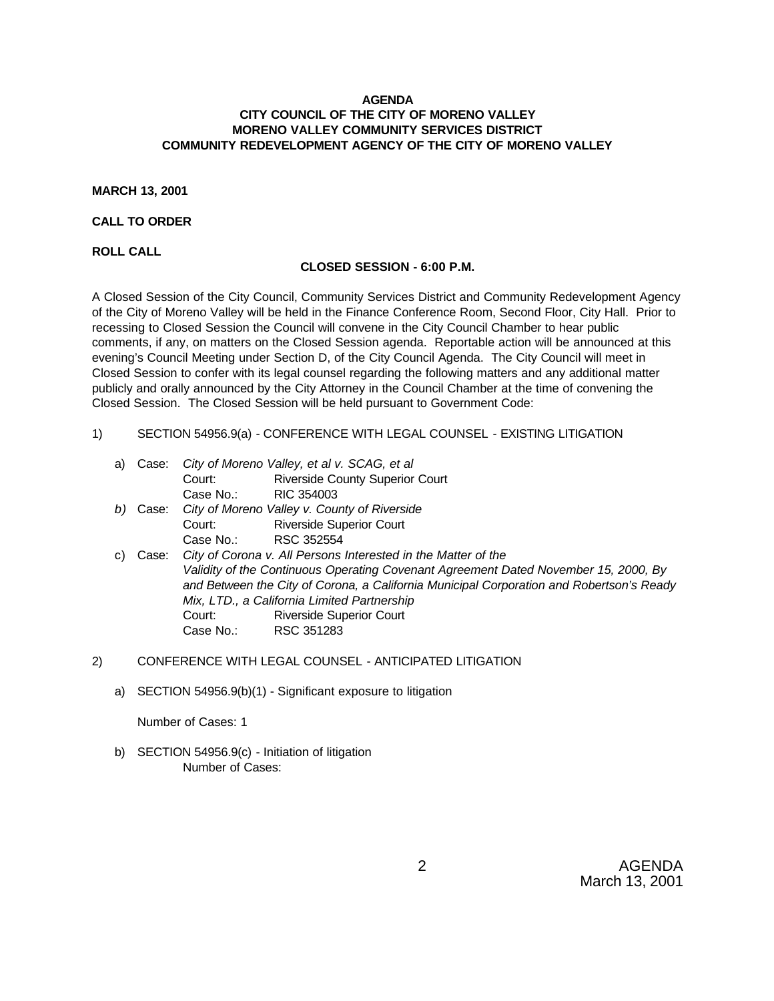## **AGENDA CITY COUNCIL OF THE CITY OF MORENO VALLEY MORENO VALLEY COMMUNITY SERVICES DISTRICT COMMUNITY REDEVELOPMENT AGENCY OF THE CITY OF MORENO VALLEY**

### **MARCH 13, 2001**

### **CALL TO ORDER**

**ROLL CALL**

#### **CLOSED SESSION - 6:00 P.M.**

A Closed Session of the City Council, Community Services District and Community Redevelopment Agency of the City of Moreno Valley will be held in the Finance Conference Room, Second Floor, City Hall. Prior to recessing to Closed Session the Council will convene in the City Council Chamber to hear public comments, if any, on matters on the Closed Session agenda. Reportable action will be announced at this evening's Council Meeting under Section D, of the City Council Agenda. The City Council will meet in Closed Session to confer with its legal counsel regarding the following matters and any additional matter publicly and orally announced by the City Attorney in the Council Chamber at the time of convening the Closed Session. The Closed Session will be held pursuant to Government Code:

- 1) SECTION 54956.9(a) CONFERENCE WITH LEGAL COUNSEL EXISTING LITIGATION
	- a) Case: *City of Moreno Valley, et al v. SCAG, et al* Court: Riverside County Superior Court Case No.: RIC 354003 *b)* Case: *City of Moreno Valley v. County of Riverside* Court: Riverside Superior Court Case No.: RSC 352554
	- c) Case: *City of Corona v. All Persons Interested in the Matter of the Validity of the Continuous Operating Covenant Agreement Dated November 15, 2000, By and Between the City of Corona, a California Municipal Corporation and Robertson's Ready Mix, LTD., a California Limited Partnership* Court: Riverside Superior Court Case No.: RSC 351283
- 2) CONFERENCE WITH LEGAL COUNSEL ANTICIPATED LITIGATION
	- a) SECTION 54956.9(b)(1) Significant exposure to litigation

Number of Cases: 1

b) SECTION 54956.9(c) - Initiation of litigation Number of Cases: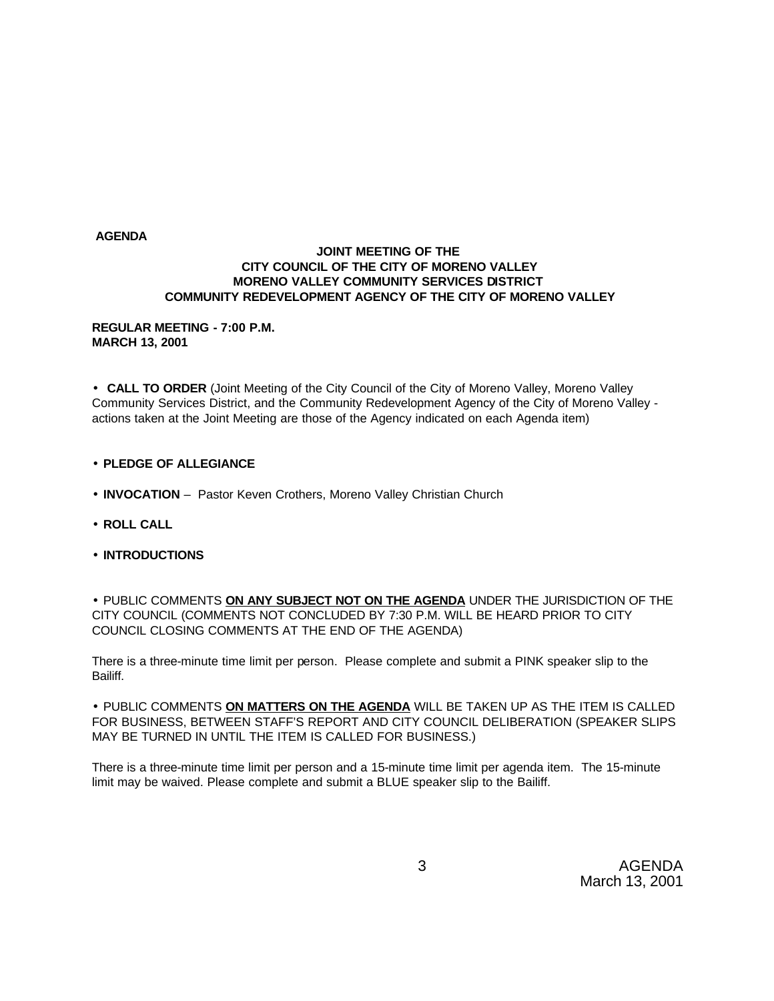#### **AGENDA**

## **JOINT MEETING OF THE CITY COUNCIL OF THE CITY OF MORENO VALLEY MORENO VALLEY COMMUNITY SERVICES DISTRICT COMMUNITY REDEVELOPMENT AGENCY OF THE CITY OF MORENO VALLEY**

### **REGULAR MEETING - 7:00 P.M. MARCH 13, 2001**

• **CALL TO ORDER** (Joint Meeting of the City Council of the City of Moreno Valley, Moreno Valley Community Services District, and the Community Redevelopment Agency of the City of Moreno Valley actions taken at the Joint Meeting are those of the Agency indicated on each Agenda item)

- **PLEDGE OF ALLEGIANCE**
- **INVOCATION** Pastor Keven Crothers, Moreno Valley Christian Church
- **ROLL CALL**
- **INTRODUCTIONS**

• PUBLIC COMMENTS **ON ANY SUBJECT NOT ON THE AGENDA** UNDER THE JURISDICTION OF THE CITY COUNCIL (COMMENTS NOT CONCLUDED BY 7:30 P.M. WILL BE HEARD PRIOR TO CITY COUNCIL CLOSING COMMENTS AT THE END OF THE AGENDA)

There is a three-minute time limit per person. Please complete and submit a PINK speaker slip to the Bailiff.

• PUBLIC COMMENTS **ON MATTERS ON THE AGENDA** WILL BE TAKEN UP AS THE ITEM IS CALLED FOR BUSINESS, BETWEEN STAFF'S REPORT AND CITY COUNCIL DELIBERATION (SPEAKER SLIPS MAY BE TURNED IN UNTIL THE ITEM IS CALLED FOR BUSINESS.)

There is a three-minute time limit per person and a 15-minute time limit per agenda item. The 15-minute limit may be waived. Please complete and submit a BLUE speaker slip to the Bailiff.

> 3 AGENDA March 13, 2001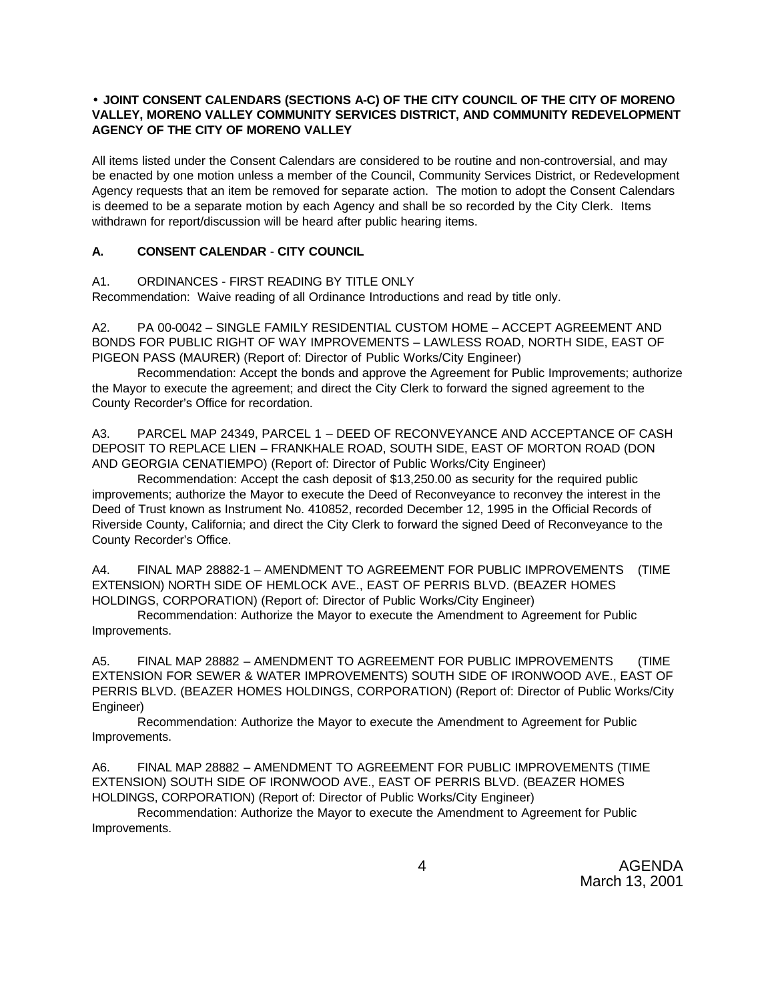## • **JOINT CONSENT CALENDARS (SECTIONS A-C) OF THE CITY COUNCIL OF THE CITY OF MORENO VALLEY, MORENO VALLEY COMMUNITY SERVICES DISTRICT, AND COMMUNITY REDEVELOPMENT AGENCY OF THE CITY OF MORENO VALLEY**

All items listed under the Consent Calendars are considered to be routine and non-controversial, and may be enacted by one motion unless a member of the Council, Community Services District, or Redevelopment Agency requests that an item be removed for separate action. The motion to adopt the Consent Calendars is deemed to be a separate motion by each Agency and shall be so recorded by the City Clerk. Items withdrawn for report/discussion will be heard after public hearing items.

# **A. CONSENT CALENDAR** - **CITY COUNCIL**

## A1. ORDINANCES - FIRST READING BY TITLE ONLY

Recommendation: Waive reading of all Ordinance Introductions and read by title only.

A2. PA 00-0042 – SINGLE FAMILY RESIDENTIAL CUSTOM HOME – ACCEPT AGREEMENT AND BONDS FOR PUBLIC RIGHT OF WAY IMPROVEMENTS – LAWLESS ROAD, NORTH SIDE, EAST OF PIGEON PASS (MAURER) (Report of: Director of Public Works/City Engineer)

Recommendation: Accept the bonds and approve the Agreement for Public Improvements; authorize the Mayor to execute the agreement; and direct the City Clerk to forward the signed agreement to the County Recorder's Office for recordation.

A3. PARCEL MAP 24349, PARCEL 1 – DEED OF RECONVEYANCE AND ACCEPTANCE OF CASH DEPOSIT TO REPLACE LIEN – FRANKHALE ROAD, SOUTH SIDE, EAST OF MORTON ROAD (DON AND GEORGIA CENATIEMPO) (Report of: Director of Public Works/City Engineer)

Recommendation: Accept the cash deposit of \$13,250.00 as security for the required public improvements; authorize the Mayor to execute the Deed of Reconveyance to reconvey the interest in the Deed of Trust known as Instrument No. 410852, recorded December 12, 1995 in the Official Records of Riverside County, California; and direct the City Clerk to forward the signed Deed of Reconveyance to the County Recorder's Office.

A4. FINAL MAP 28882-1 – AMENDMENT TO AGREEMENT FOR PUBLIC IMPROVEMENTS (TIME EXTENSION) NORTH SIDE OF HEMLOCK AVE., EAST OF PERRIS BLVD. (BEAZER HOMES HOLDINGS, CORPORATION) (Report of: Director of Public Works/City Engineer)

Recommendation: Authorize the Mayor to execute the Amendment to Agreement for Public Improvements.

A5. FINAL MAP 28882 – AMENDMENT TO AGREEMENT FOR PUBLIC IMPROVEMENTS (TIME EXTENSION FOR SEWER & WATER IMPROVEMENTS) SOUTH SIDE OF IRONWOOD AVE., EAST OF PERRIS BLVD. (BEAZER HOMES HOLDINGS, CORPORATION) (Report of: Director of Public Works/City Engineer)

Recommendation: Authorize the Mayor to execute the Amendment to Agreement for Public Improvements.

A6. FINAL MAP 28882 – AMENDMENT TO AGREEMENT FOR PUBLIC IMPROVEMENTS (TIME EXTENSION) SOUTH SIDE OF IRONWOOD AVE., EAST OF PERRIS BLVD. (BEAZER HOMES HOLDINGS, CORPORATION) (Report of: Director of Public Works/City Engineer)

Recommendation: Authorize the Mayor to execute the Amendment to Agreement for Public Improvements.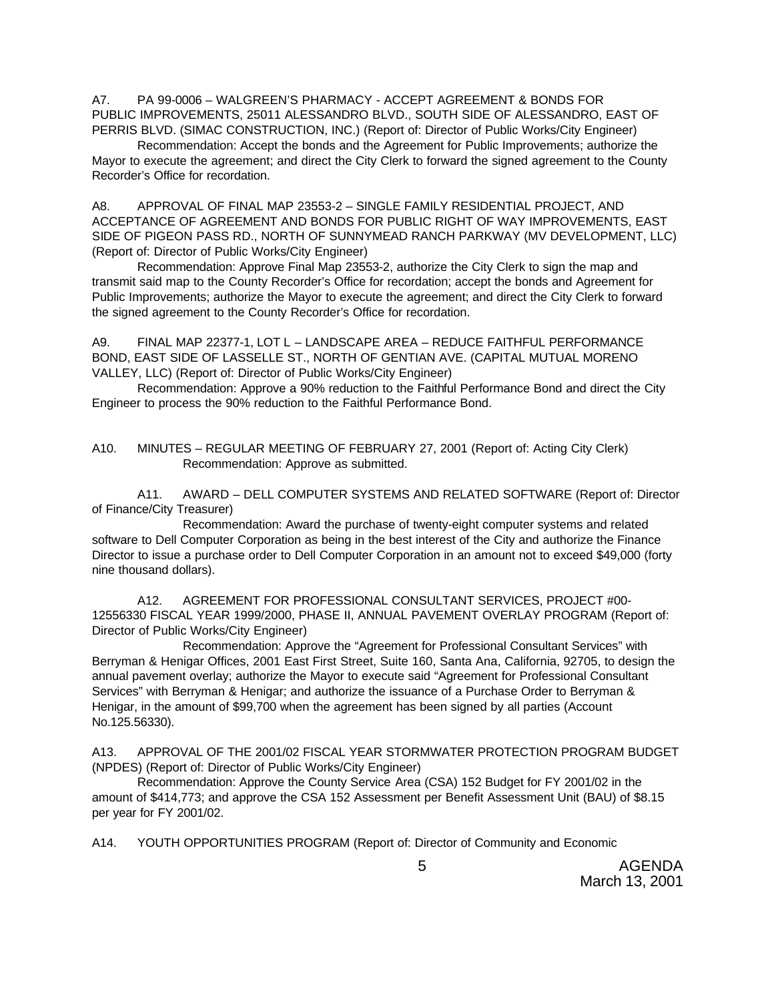A7. PA 99-0006 – WALGREEN'S PHARMACY - ACCEPT AGREEMENT & BONDS FOR PUBLIC IMPROVEMENTS, 25011 ALESSANDRO BLVD., SOUTH SIDE OF ALESSANDRO, EAST OF PERRIS BLVD. (SIMAC CONSTRUCTION, INC.) (Report of: Director of Public Works/City Engineer)

Recommendation: Accept the bonds and the Agreement for Public Improvements; authorize the Mayor to execute the agreement; and direct the City Clerk to forward the signed agreement to the County Recorder's Office for recordation.

A8. APPROVAL OF FINAL MAP 23553-2 – SINGLE FAMILY RESIDENTIAL PROJECT, AND ACCEPTANCE OF AGREEMENT AND BONDS FOR PUBLIC RIGHT OF WAY IMPROVEMENTS, EAST SIDE OF PIGEON PASS RD., NORTH OF SUNNYMEAD RANCH PARKWAY (MV DEVELOPMENT, LLC) (Report of: Director of Public Works/City Engineer)

Recommendation: Approve Final Map 23553-2, authorize the City Clerk to sign the map and transmit said map to the County Recorder's Office for recordation; accept the bonds and Agreement for Public Improvements; authorize the Mayor to execute the agreement; and direct the City Clerk to forward the signed agreement to the County Recorder's Office for recordation.

A9. FINAL MAP 22377-1, LOT L – LANDSCAPE AREA – REDUCE FAITHFUL PERFORMANCE BOND, EAST SIDE OF LASSELLE ST., NORTH OF GENTIAN AVE. (CAPITAL MUTUAL MORENO VALLEY, LLC) (Report of: Director of Public Works/City Engineer)

Recommendation: Approve a 90% reduction to the Faithful Performance Bond and direct the City Engineer to process the 90% reduction to the Faithful Performance Bond.

### A10. MINUTES – REGULAR MEETING OF FEBRUARY 27, 2001 (Report of: Acting City Clerk) Recommendation: Approve as submitted.

A11. AWARD – DELL COMPUTER SYSTEMS AND RELATED SOFTWARE (Report of: Director of Finance/City Treasurer)

Recommendation: Award the purchase of twenty-eight computer systems and related software to Dell Computer Corporation as being in the best interest of the City and authorize the Finance Director to issue a purchase order to Dell Computer Corporation in an amount not to exceed \$49,000 (forty nine thousand dollars).

A12. AGREEMENT FOR PROFESSIONAL CONSULTANT SERVICES, PROJECT #00- 12556330 FISCAL YEAR 1999/2000, PHASE II, ANNUAL PAVEMENT OVERLAY PROGRAM (Report of: Director of Public Works/City Engineer)

Recommendation: Approve the "Agreement for Professional Consultant Services" with Berryman & Henigar Offices, 2001 East First Street, Suite 160, Santa Ana, California, 92705, to design the annual pavement overlay; authorize the Mayor to execute said "Agreement for Professional Consultant Services" with Berryman & Henigar; and authorize the issuance of a Purchase Order to Berryman & Henigar, in the amount of \$99,700 when the agreement has been signed by all parties (Account No.125.56330).

A13. APPROVAL OF THE 2001/02 FISCAL YEAR STORMWATER PROTECTION PROGRAM BUDGET (NPDES) (Report of: Director of Public Works/City Engineer)

Recommendation: Approve the County Service Area (CSA) 152 Budget for FY 2001/02 in the amount of \$414,773; and approve the CSA 152 Assessment per Benefit Assessment Unit (BAU) of \$8.15 per year for FY 2001/02.

A14. YOUTH OPPORTUNITIES PROGRAM (Report of: Director of Community and Economic

 5 AGENDA March 13, 2001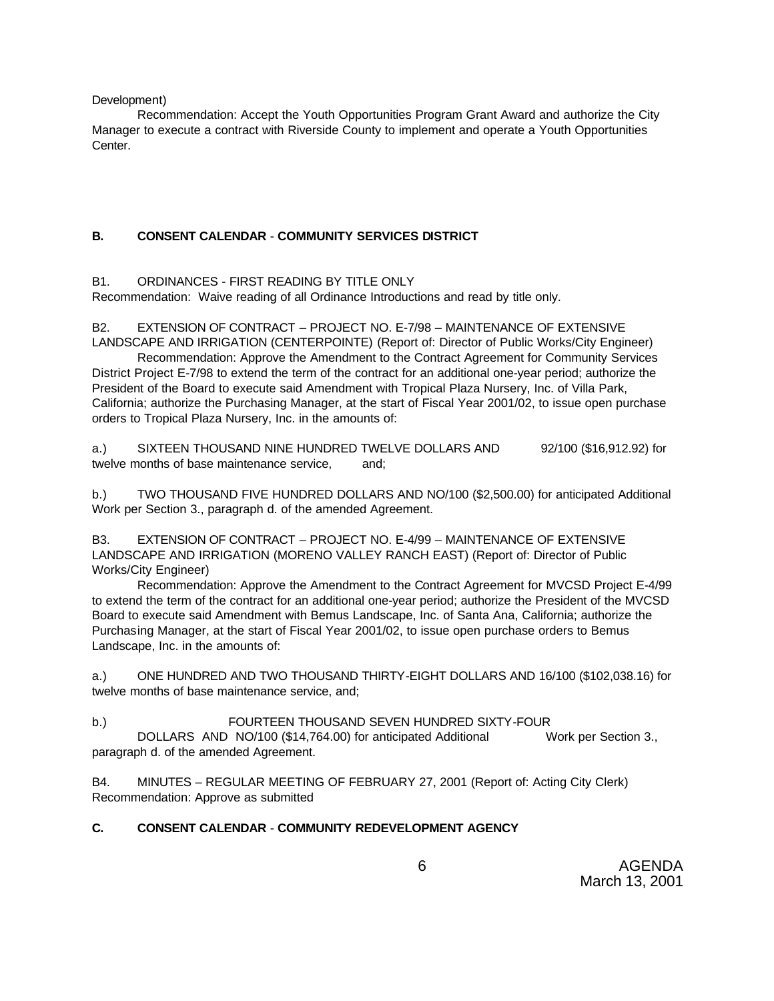Development)

Recommendation: Accept the Youth Opportunities Program Grant Award and authorize the City Manager to execute a contract with Riverside County to implement and operate a Youth Opportunities Center.

# **B. CONSENT CALENDAR** - **COMMUNITY SERVICES DISTRICT**

# B1. ORDINANCES - FIRST READING BY TITLE ONLY

Recommendation: Waive reading of all Ordinance Introductions and read by title only.

B2. EXTENSION OF CONTRACT – PROJECT NO. E-7/98 – MAINTENANCE OF EXTENSIVE LANDSCAPE AND IRRIGATION (CENTERPOINTE) (Report of: Director of Public Works/City Engineer)

Recommendation: Approve the Amendment to the Contract Agreement for Community Services District Project E-7/98 to extend the term of the contract for an additional one-year period; authorize the President of the Board to execute said Amendment with Tropical Plaza Nursery, Inc. of Villa Park, California; authorize the Purchasing Manager, at the start of Fiscal Year 2001/02, to issue open purchase orders to Tropical Plaza Nursery, Inc. in the amounts of:

a.) SIXTEEN THOUSAND NINE HUNDRED TWELVE DOLLARS AND 92/100 (\$16,912.92) for twelve months of base maintenance service. and:

b.) TWO THOUSAND FIVE HUNDRED DOLLARS AND NO/100 (\$2,500.00) for anticipated Additional Work per Section 3., paragraph d. of the amended Agreement.

B3. EXTENSION OF CONTRACT – PROJECT NO. E-4/99 – MAINTENANCE OF EXTENSIVE LANDSCAPE AND IRRIGATION (MORENO VALLEY RANCH EAST) (Report of: Director of Public Works/City Engineer)

Recommendation: Approve the Amendment to the Contract Agreement for MVCSD Project E-4/99 to extend the term of the contract for an additional one-year period; authorize the President of the MVCSD Board to execute said Amendment with Bemus Landscape, Inc. of Santa Ana, California; authorize the Purchasing Manager, at the start of Fiscal Year 2001/02, to issue open purchase orders to Bemus Landscape, Inc. in the amounts of:

a.) ONE HUNDRED AND TWO THOUSAND THIRTY-EIGHT DOLLARS AND 16/100 (\$102,038.16) for twelve months of base maintenance service, and;

b.) FOURTEEN THOUSAND SEVEN HUNDRED SIXTY-FOUR

DOLLARS AND NO/100 (\$14,764.00) for anticipated Additional Work per Section 3., paragraph d. of the amended Agreement.

B4. MINUTES – REGULAR MEETING OF FEBRUARY 27, 2001 (Report of: Acting City Clerk) Recommendation: Approve as submitted

# **C. CONSENT CALENDAR** - **COMMUNITY REDEVELOPMENT AGENCY**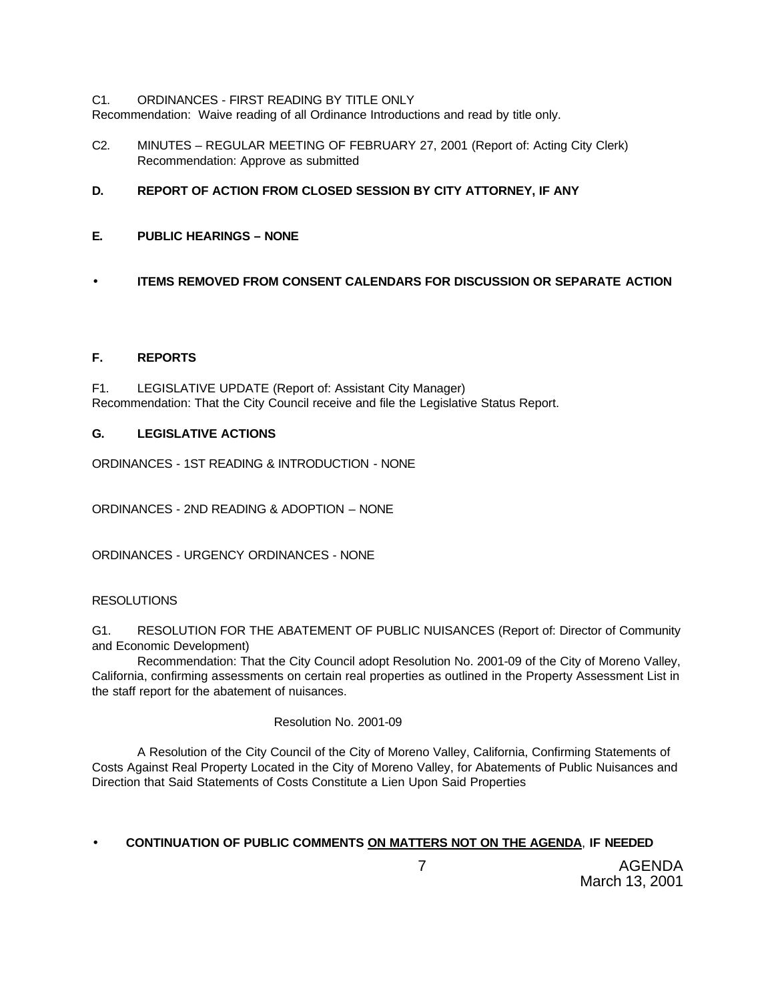### C1. ORDINANCES - FIRST READING BY TITLE ONLY

Recommendation: Waive reading of all Ordinance Introductions and read by title only.

- C2. MINUTES REGULAR MEETING OF FEBRUARY 27, 2001 (Report of: Acting City Clerk) Recommendation: Approve as submitted
- **D. REPORT OF ACTION FROM CLOSED SESSION BY CITY ATTORNEY, IF ANY**
- **E. PUBLIC HEARINGS NONE**
- **ITEMS REMOVED FROM CONSENT CALENDARS FOR DISCUSSION OR SEPARATE ACTION**

# **F. REPORTS**

F1. LEGISLATIVE UPDATE (Report of: Assistant City Manager) Recommendation: That the City Council receive and file the Legislative Status Report.

# **G. LEGISLATIVE ACTIONS**

ORDINANCES - 1ST READING & INTRODUCTION - NONE

ORDINANCES - 2ND READING & ADOPTION – NONE

ORDINANCES - URGENCY ORDINANCES - NONE

# **RESOLUTIONS**

G1. RESOLUTION FOR THE ABATEMENT OF PUBLIC NUISANCES (Report of: Director of Community and Economic Development)

Recommendation: That the City Council adopt Resolution No. 2001-09 of the City of Moreno Valley, California, confirming assessments on certain real properties as outlined in the Property Assessment List in the staff report for the abatement of nuisances.

# Resolution No. 2001-09

A Resolution of the City Council of the City of Moreno Valley, California, Confirming Statements of Costs Against Real Property Located in the City of Moreno Valley, for Abatements of Public Nuisances and Direction that Said Statements of Costs Constitute a Lien Upon Said Properties

# • **CONTINUATION OF PUBLIC COMMENTS ON MATTERS NOT ON THE AGENDA**, **IF NEEDED**

 7 AGENDA March 13, 2001